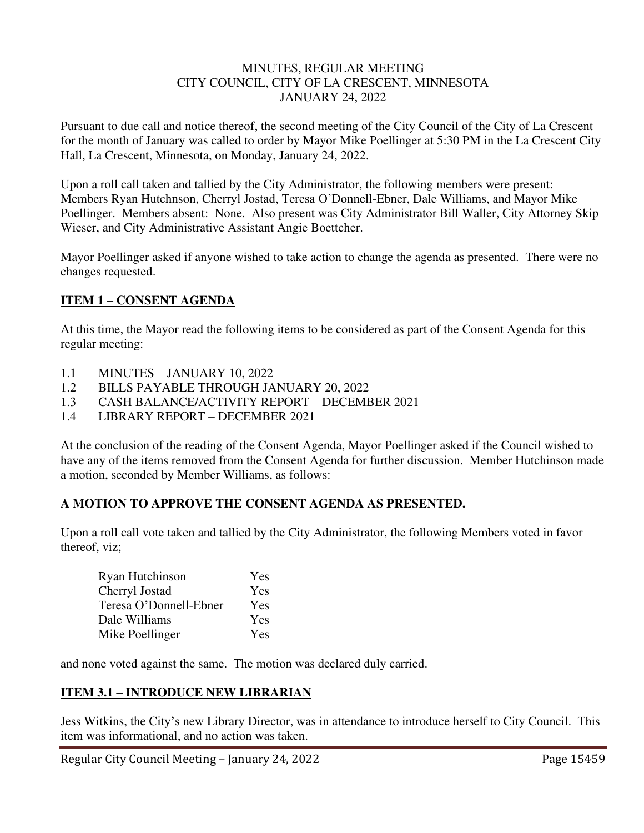#### MINUTES, REGULAR MEETING CITY COUNCIL, CITY OF LA CRESCENT, MINNESOTA JANUARY 24, 2022

Pursuant to due call and notice thereof, the second meeting of the City Council of the City of La Crescent for the month of January was called to order by Mayor Mike Poellinger at 5:30 PM in the La Crescent City Hall, La Crescent, Minnesota, on Monday, January 24, 2022.

Upon a roll call taken and tallied by the City Administrator, the following members were present: Members Ryan Hutchnson, Cherryl Jostad, Teresa O'Donnell-Ebner, Dale Williams, and Mayor Mike Poellinger. Members absent: None. Also present was City Administrator Bill Waller, City Attorney Skip Wieser, and City Administrative Assistant Angie Boettcher.

Mayor Poellinger asked if anyone wished to take action to change the agenda as presented. There were no changes requested.

## **ITEM 1 – CONSENT AGENDA**

At this time, the Mayor read the following items to be considered as part of the Consent Agenda for this regular meeting:

- 1.1 MINUTES JANUARY 10, 2022
- 1.2 BILLS PAYABLE THROUGH JANUARY 20, 2022
- 1.3 CASH BALANCE/ACTIVITY REPORT DECEMBER 2021
- 1.4 LIBRARY REPORT DECEMBER 2021

At the conclusion of the reading of the Consent Agenda, Mayor Poellinger asked if the Council wished to have any of the items removed from the Consent Agenda for further discussion. Member Hutchinson made a motion, seconded by Member Williams, as follows:

## **A MOTION TO APPROVE THE CONSENT AGENDA AS PRESENTED.**

Upon a roll call vote taken and tallied by the City Administrator, the following Members voted in favor thereof, viz;

| Ryan Hutchinson        | Yes |
|------------------------|-----|
| Cherryl Jostad         | Yes |
| Teresa O'Donnell-Ebner | Yes |
| Dale Williams          | Yes |
| Mike Poellinger        | Yes |

and none voted against the same. The motion was declared duly carried.

## **ITEM 3.1 – INTRODUCE NEW LIBRARIAN**

Jess Witkins, the City's new Library Director, was in attendance to introduce herself to City Council. This item was informational, and no action was taken.

Regular City Council Meeting – January 24, 2022 Page 15459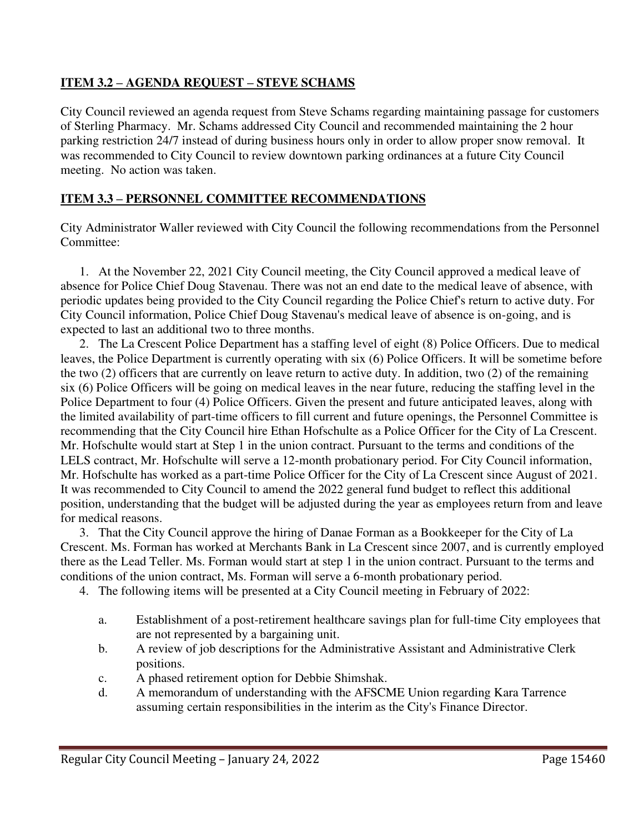# **ITEM 3.2 – AGENDA REQUEST – STEVE SCHAMS**

City Council reviewed an agenda request from Steve Schams regarding maintaining passage for customers of Sterling Pharmacy. Mr. Schams addressed City Council and recommended maintaining the 2 hour parking restriction 24/7 instead of during business hours only in order to allow proper snow removal. It was recommended to City Council to review downtown parking ordinances at a future City Council meeting. No action was taken.

# **ITEM 3.3 – PERSONNEL COMMITTEE RECOMMENDATIONS**

City Administrator Waller reviewed with City Council the following recommendations from the Personnel Committee:

1. At the November 22, 2021 City Council meeting, the City Council approved a medical leave of absence for Police Chief Doug Stavenau. There was not an end date to the medical leave of absence, with periodic updates being provided to the City Council regarding the Police Chief's return to active duty. For City Council information, Police Chief Doug Stavenau's medical leave of absence is on-going, and is expected to last an additional two to three months.

2. The La Crescent Police Department has a staffing level of eight (8) Police Officers. Due to medical leaves, the Police Department is currently operating with six (6) Police Officers. It will be sometime before the two (2) officers that are currently on leave return to active duty. In addition, two (2) of the remaining six (6) Police Officers will be going on medical leaves in the near future, reducing the staffing level in the Police Department to four (4) Police Officers. Given the present and future anticipated leaves, along with the limited availability of part-time officers to fill current and future openings, the Personnel Committee is recommending that the City Council hire Ethan Hofschulte as a Police Officer for the City of La Crescent. Mr. Hofschulte would start at Step 1 in the union contract. Pursuant to the terms and conditions of the LELS contract, Mr. Hofschulte will serve a 12-month probationary period. For City Council information, Mr. Hofschulte has worked as a part-time Police Officer for the City of La Crescent since August of 2021. It was recommended to City Council to amend the 2022 general fund budget to reflect this additional position, understanding that the budget will be adjusted during the year as employees return from and leave for medical reasons.

3. That the City Council approve the hiring of Danae Forman as a Bookkeeper for the City of La Crescent. Ms. Forman has worked at Merchants Bank in La Crescent since 2007, and is currently employed there as the Lead Teller. Ms. Forman would start at step 1 in the union contract. Pursuant to the terms and conditions of the union contract, Ms. Forman will serve a 6-month probationary period.

4. The following items will be presented at a City Council meeting in February of 2022:

- a. Establishment of a post-retirement healthcare savings plan for full-time City employees that are not represented by a bargaining unit.
- b. A review of job descriptions for the Administrative Assistant and Administrative Clerk positions.
- c. A phased retirement option for Debbie Shimshak.
- d. A memorandum of understanding with the AFSCME Union regarding Kara Tarrence assuming certain responsibilities in the interim as the City's Finance Director.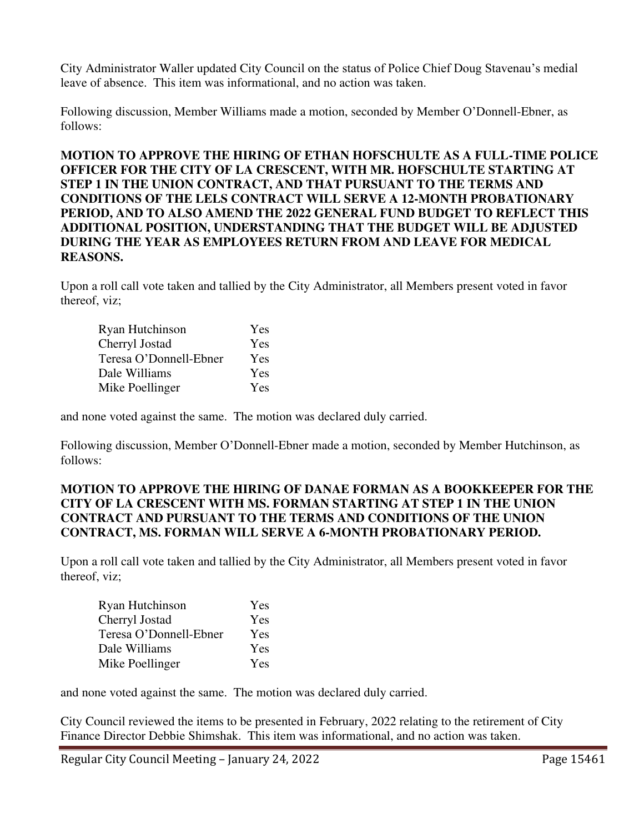City Administrator Waller updated City Council on the status of Police Chief Doug Stavenau's medial leave of absence. This item was informational, and no action was taken.

Following discussion, Member Williams made a motion, seconded by Member O'Donnell-Ebner, as follows:

**MOTION TO APPROVE THE HIRING OF ETHAN HOFSCHULTE AS A FULL-TIME POLICE OFFICER FOR THE CITY OF LA CRESCENT, WITH MR. HOFSCHULTE STARTING AT STEP 1 IN THE UNION CONTRACT, AND THAT PURSUANT TO THE TERMS AND CONDITIONS OF THE LELS CONTRACT WILL SERVE A 12-MONTH PROBATIONARY PERIOD, AND TO ALSO AMEND THE 2022 GENERAL FUND BUDGET TO REFLECT THIS ADDITIONAL POSITION, UNDERSTANDING THAT THE BUDGET WILL BE ADJUSTED DURING THE YEAR AS EMPLOYEES RETURN FROM AND LEAVE FOR MEDICAL REASONS.** 

Upon a roll call vote taken and tallied by the City Administrator, all Members present voted in favor thereof, viz;

| Ryan Hutchinson        | Yes |
|------------------------|-----|
| Cherryl Jostad         | Yes |
| Teresa O'Donnell-Ebner | Yes |
| Dale Williams          | Yes |
| Mike Poellinger        | Yes |

and none voted against the same. The motion was declared duly carried.

Following discussion, Member O'Donnell-Ebner made a motion, seconded by Member Hutchinson, as follows:

## **MOTION TO APPROVE THE HIRING OF DANAE FORMAN AS A BOOKKEEPER FOR THE CITY OF LA CRESCENT WITH MS. FORMAN STARTING AT STEP 1 IN THE UNION CONTRACT AND PURSUANT TO THE TERMS AND CONDITIONS OF THE UNION CONTRACT, MS. FORMAN WILL SERVE A 6-MONTH PROBATIONARY PERIOD.**

Upon a roll call vote taken and tallied by the City Administrator, all Members present voted in favor thereof, viz;

| Ryan Hutchinson        | Yes |
|------------------------|-----|
| Cherryl Jostad         | Yes |
| Teresa O'Donnell-Ebner | Yes |
| Dale Williams          | Yes |
| Mike Poellinger        | Yes |

and none voted against the same. The motion was declared duly carried.

City Council reviewed the items to be presented in February, 2022 relating to the retirement of City Finance Director Debbie Shimshak. This item was informational, and no action was taken.

Regular City Council Meeting – January 24, 2022 Page 15461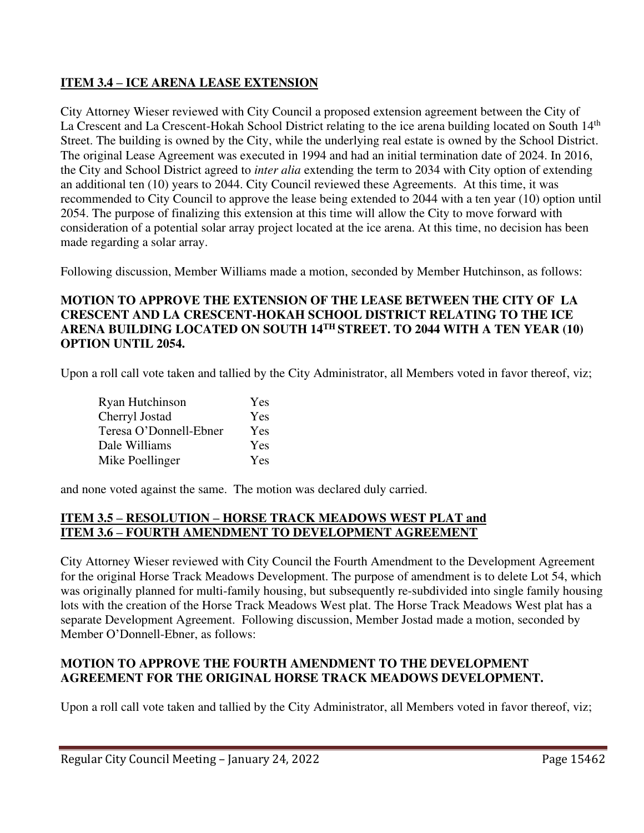# **ITEM 3.4 – ICE ARENA LEASE EXTENSION**

City Attorney Wieser reviewed with City Council a proposed extension agreement between the City of La Crescent and La Crescent-Hokah School District relating to the ice arena building located on South 14<sup>th</sup> Street. The building is owned by the City, while the underlying real estate is owned by the School District. The original Lease Agreement was executed in 1994 and had an initial termination date of 2024. In 2016, the City and School District agreed to *inter alia* extending the term to 2034 with City option of extending an additional ten (10) years to 2044. City Council reviewed these Agreements. At this time, it was recommended to City Council to approve the lease being extended to 2044 with a ten year (10) option until 2054. The purpose of finalizing this extension at this time will allow the City to move forward with consideration of a potential solar array project located at the ice arena. At this time, no decision has been made regarding a solar array.

Following discussion, Member Williams made a motion, seconded by Member Hutchinson, as follows:

## **MOTION TO APPROVE THE EXTENSION OF THE LEASE BETWEEN THE CITY OF LA CRESCENT AND LA CRESCENT-HOKAH SCHOOL DISTRICT RELATING TO THE ICE ARENA BUILDING LOCATED ON SOUTH 14TH STREET. TO 2044 WITH A TEN YEAR (10) OPTION UNTIL 2054.**

Upon a roll call vote taken and tallied by the City Administrator, all Members voted in favor thereof, viz;

| Ryan Hutchinson        | Yes |
|------------------------|-----|
| Cherryl Jostad         | Yes |
| Teresa O'Donnell-Ebner | Yes |
| Dale Williams          | Yes |
| Mike Poellinger        | Yes |

and none voted against the same. The motion was declared duly carried.

# **ITEM 3.5 – RESOLUTION – HORSE TRACK MEADOWS WEST PLAT and ITEM 3.6 – FOURTH AMENDMENT TO DEVELOPMENT AGREEMENT**

City Attorney Wieser reviewed with City Council the Fourth Amendment to the Development Agreement for the original Horse Track Meadows Development. The purpose of amendment is to delete Lot 54, which was originally planned for multi-family housing, but subsequently re-subdivided into single family housing lots with the creation of the Horse Track Meadows West plat. The Horse Track Meadows West plat has a separate Development Agreement. Following discussion, Member Jostad made a motion, seconded by Member O'Donnell-Ebner, as follows:

## **MOTION TO APPROVE THE FOURTH AMENDMENT TO THE DEVELOPMENT AGREEMENT FOR THE ORIGINAL HORSE TRACK MEADOWS DEVELOPMENT.**

Upon a roll call vote taken and tallied by the City Administrator, all Members voted in favor thereof, viz;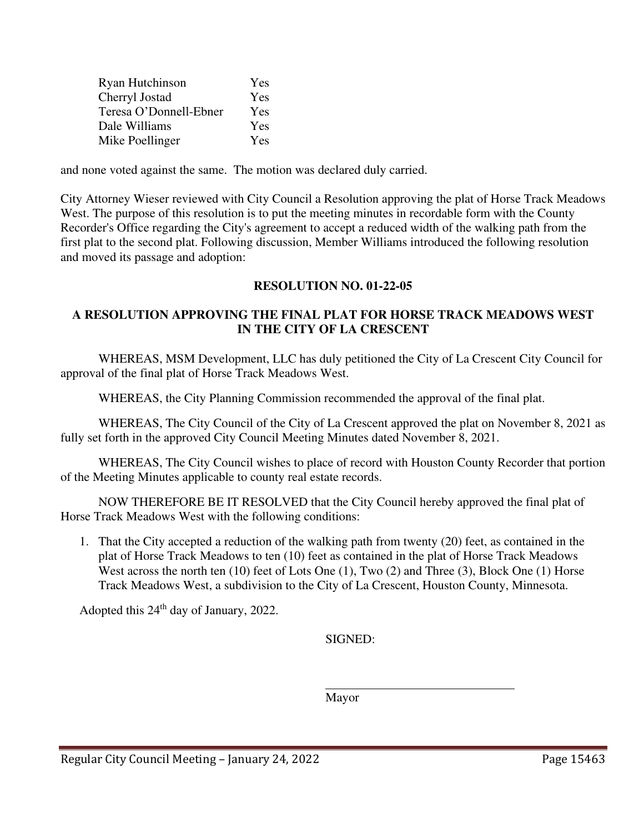| Ryan Hutchinson        | Yes |
|------------------------|-----|
| Cherryl Jostad         | Yes |
| Teresa O'Donnell-Ebner | Yes |
| Dale Williams          | Yes |
| Mike Poellinger        | Yes |

and none voted against the same. The motion was declared duly carried.

City Attorney Wieser reviewed with City Council a Resolution approving the plat of Horse Track Meadows West. The purpose of this resolution is to put the meeting minutes in recordable form with the County Recorder's Office regarding the City's agreement to accept a reduced width of the walking path from the first plat to the second plat. Following discussion, Member Williams introduced the following resolution and moved its passage and adoption:

## **RESOLUTION NO. 01-22-05**

## **A RESOLUTION APPROVING THE FINAL PLAT FOR HORSE TRACK MEADOWS WEST IN THE CITY OF LA CRESCENT**

 WHEREAS, MSM Development, LLC has duly petitioned the City of La Crescent City Council for approval of the final plat of Horse Track Meadows West.

WHEREAS, the City Planning Commission recommended the approval of the final plat.

 WHEREAS, The City Council of the City of La Crescent approved the plat on November 8, 2021 as fully set forth in the approved City Council Meeting Minutes dated November 8, 2021.

 WHEREAS, The City Council wishes to place of record with Houston County Recorder that portion of the Meeting Minutes applicable to county real estate records.

 NOW THEREFORE BE IT RESOLVED that the City Council hereby approved the final plat of Horse Track Meadows West with the following conditions:

1. That the City accepted a reduction of the walking path from twenty (20) feet, as contained in the plat of Horse Track Meadows to ten (10) feet as contained in the plat of Horse Track Meadows West across the north ten (10) feet of Lots One (1), Two (2) and Three (3), Block One (1) Horse Track Meadows West, a subdivision to the City of La Crescent, Houston County, Minnesota.

Adopted this 24<sup>th</sup> day of January, 2022.

SIGNED:

Mayor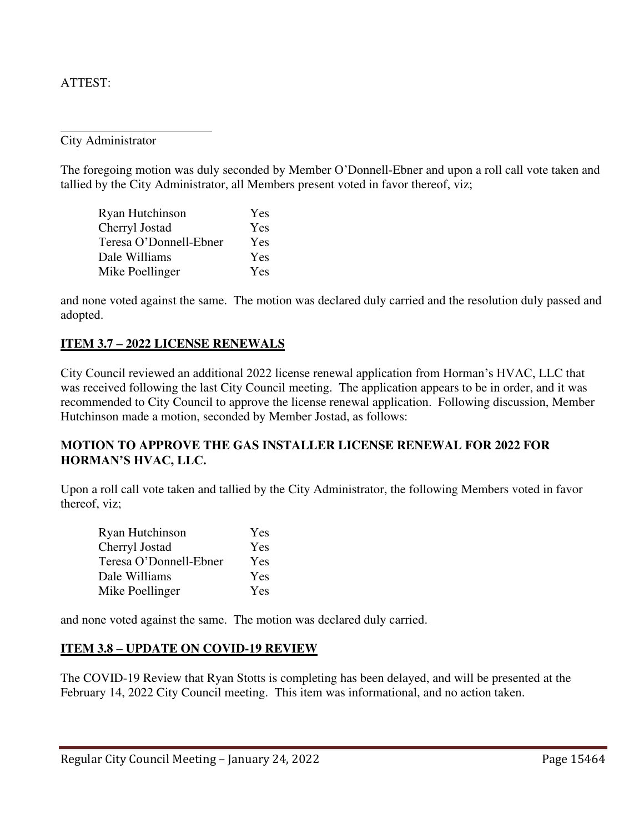#### ATTEST:

 $\overline{a}$ 

City Administrator

The foregoing motion was duly seconded by Member O'Donnell-Ebner and upon a roll call vote taken and tallied by the City Administrator, all Members present voted in favor thereof, viz;

| Ryan Hutchinson        | Yes |
|------------------------|-----|
| Cherryl Jostad         | Yes |
| Teresa O'Donnell-Ebner | Yes |
| Dale Williams          | Yes |
| Mike Poellinger        | Yes |

and none voted against the same. The motion was declared duly carried and the resolution duly passed and adopted.

#### **ITEM 3.7 – 2022 LICENSE RENEWALS**

City Council reviewed an additional 2022 license renewal application from Horman's HVAC, LLC that was received following the last City Council meeting. The application appears to be in order, and it was recommended to City Council to approve the license renewal application. Following discussion, Member Hutchinson made a motion, seconded by Member Jostad, as follows:

## **MOTION TO APPROVE THE GAS INSTALLER LICENSE RENEWAL FOR 2022 FOR HORMAN'S HVAC, LLC.**

Upon a roll call vote taken and tallied by the City Administrator, the following Members voted in favor thereof, viz;

| Ryan Hutchinson        | Yes |
|------------------------|-----|
| Cherryl Jostad         | Yes |
| Teresa O'Donnell-Ebner | Yes |
| Dale Williams          | Yes |
| Mike Poellinger        | Yes |

and none voted against the same. The motion was declared duly carried.

#### **ITEM 3.8 – UPDATE ON COVID-19 REVIEW**

The COVID-19 Review that Ryan Stotts is completing has been delayed, and will be presented at the February 14, 2022 City Council meeting. This item was informational, and no action taken.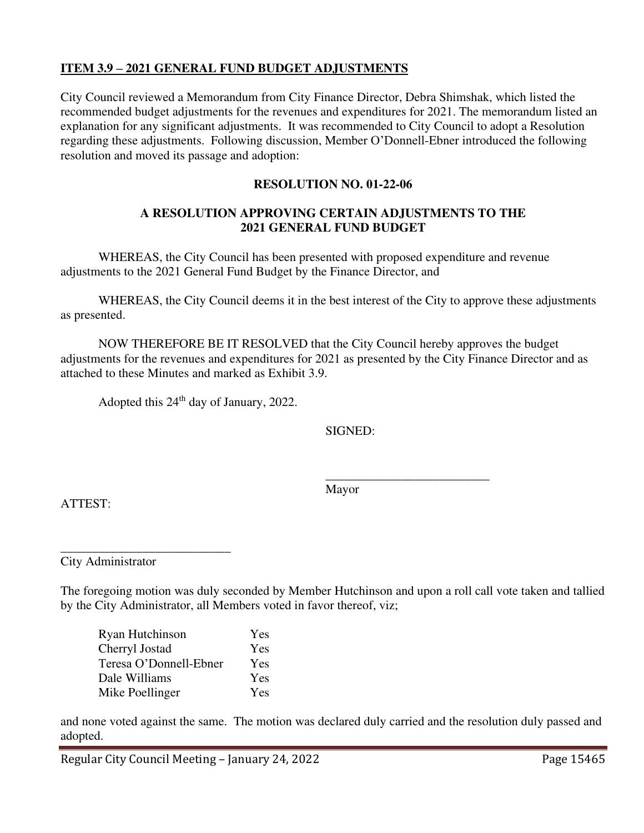#### **ITEM 3.9 – 2021 GENERAL FUND BUDGET ADJUSTMENTS**

City Council reviewed a Memorandum from City Finance Director, Debra Shimshak, which listed the recommended budget adjustments for the revenues and expenditures for 2021. The memorandum listed an explanation for any significant adjustments. It was recommended to City Council to adopt a Resolution regarding these adjustments. Following discussion, Member O'Donnell-Ebner introduced the following resolution and moved its passage and adoption:

#### **RESOLUTION NO. 01-22-06**

#### **A RESOLUTION APPROVING CERTAIN ADJUSTMENTS TO THE 2021 GENERAL FUND BUDGET**

 WHEREAS, the City Council has been presented with proposed expenditure and revenue adjustments to the 2021 General Fund Budget by the Finance Director, and

 WHEREAS, the City Council deems it in the best interest of the City to approve these adjustments as presented.

NOW THEREFORE BE IT RESOLVED that the City Council hereby approves the budget adjustments for the revenues and expenditures for 2021 as presented by the City Finance Director and as attached to these Minutes and marked as Exhibit 3.9.

Adopted this 24<sup>th</sup> day of January, 2022.

SIGNED:

 $\frac{1}{\sqrt{2}}$  ,  $\frac{1}{\sqrt{2}}$  ,  $\frac{1}{\sqrt{2}}$  ,  $\frac{1}{\sqrt{2}}$  ,  $\frac{1}{\sqrt{2}}$  ,  $\frac{1}{\sqrt{2}}$  ,  $\frac{1}{\sqrt{2}}$  ,  $\frac{1}{\sqrt{2}}$  ,  $\frac{1}{\sqrt{2}}$  ,  $\frac{1}{\sqrt{2}}$  ,  $\frac{1}{\sqrt{2}}$  ,  $\frac{1}{\sqrt{2}}$  ,  $\frac{1}{\sqrt{2}}$  ,  $\frac{1}{\sqrt{2}}$  ,  $\frac{1}{\sqrt{2}}$ Mayor

ATTEST:

\_\_\_\_\_\_\_\_\_\_\_\_\_\_\_\_\_\_\_\_\_\_\_\_\_\_\_ City Administrator

The foregoing motion was duly seconded by Member Hutchinson and upon a roll call vote taken and tallied by the City Administrator, all Members voted in favor thereof, viz;

Ryan Hutchinson Yes Cherryl Jostad Yes Teresa O'Donnell-Ebner Yes Dale Williams Yes Mike Poellinger Yes

and none voted against the same. The motion was declared duly carried and the resolution duly passed and adopted.

Regular City Council Meeting – January 24, 2022 Page 15465